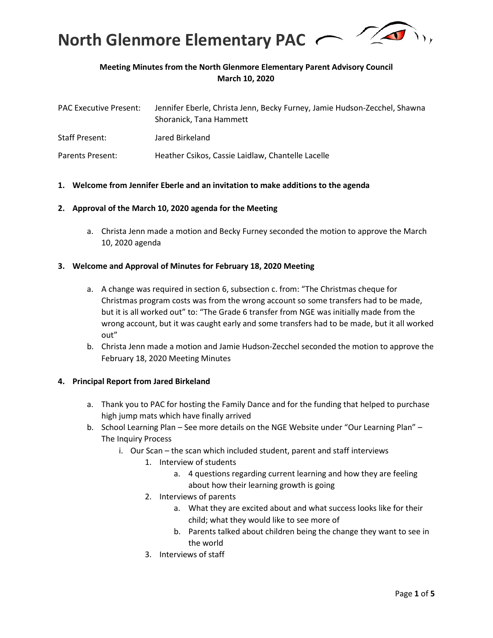

## **Meeting Minutes from the North Glenmore Elementary Parent Advisory Council March 10, 2020**

| <b>PAC Executive Present:</b> | Jennifer Eberle, Christa Jenn, Becky Furney, Jamie Hudson-Zecchel, Shawna<br>Shoranick, Tana Hammett |
|-------------------------------|------------------------------------------------------------------------------------------------------|
| <b>Staff Present:</b>         | Jared Birkeland                                                                                      |
| Parents Present:              | Heather Csikos, Cassie Laidlaw, Chantelle Lacelle                                                    |

#### **1. Welcome from Jennifer Eberle and an invitation to make additions to the agenda**

#### **2. Approval of the March 10, 2020 agenda for the Meeting**

a. Christa Jenn made a motion and Becky Furney seconded the motion to approve the March 10, 2020 agenda

#### **3. Welcome and Approval of Minutes for February 18, 2020 Meeting**

- a. A change was required in section 6, subsection c. from: "The Christmas cheque for Christmas program costs was from the wrong account so some transfers had to be made, but it is all worked out" to: "The Grade 6 transfer from NGE was initially made from the wrong account, but it was caught early and some transfers had to be made, but it all worked out"
- b. Christa Jenn made a motion and Jamie Hudson-Zecchel seconded the motion to approve the February 18, 2020 Meeting Minutes

#### **4. Principal Report from Jared Birkeland**

- a. Thank you to PAC for hosting the Family Dance and for the funding that helped to purchase high jump mats which have finally arrived
- b. School Learning Plan See more details on the NGE Website under "Our Learning Plan" The Inquiry Process
	- i. Our Scan the scan which included student, parent and staff interviews
		- 1. Interview of students
			- a. 4 questions regarding current learning and how they are feeling about how their learning growth is going
			- 2. Interviews of parents
				- a. What they are excited about and what success looks like for their child; what they would like to see more of
				- b. Parents talked about children being the change they want to see in the world
			- 3. Interviews of staff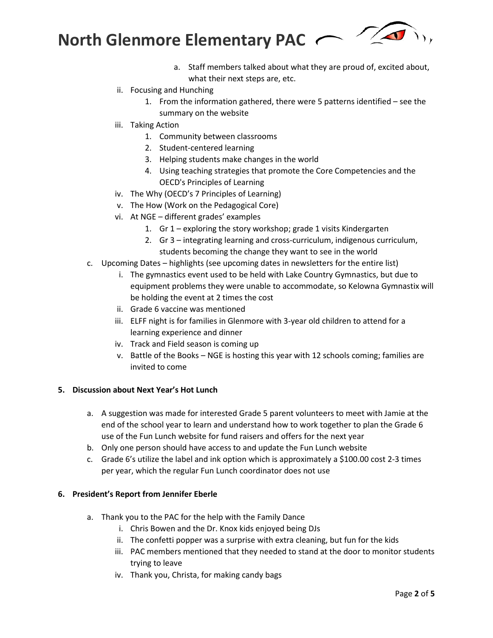**North Glenmore Elementary PAC** 

- a. Staff members talked about what they are proud of, excited about, what their next steps are, etc.
- ii. Focusing and Hunching
	- 1. From the information gathered, there were 5 patterns identified see the summary on the website
- iii. Taking Action
	- 1. Community between classrooms
	- 2. Student-centered learning
	- 3. Helping students make changes in the world
	- 4. Using teaching strategies that promote the Core Competencies and the OECD's Principles of Learning
- iv. The Why (OECD's 7 Principles of Learning)
- v. The How (Work on the Pedagogical Core)
- vi. At NGE different grades' examples
	- 1. Gr 1 exploring the story workshop; grade 1 visits Kindergarten
	- 2. Gr 3 integrating learning and cross-curriculum, indigenous curriculum, students becoming the change they want to see in the world
- c. Upcoming Dates highlights (see upcoming dates in newsletters for the entire list)
	- i. The gymnastics event used to be held with Lake Country Gymnastics, but due to equipment problems they were unable to accommodate, so Kelowna Gymnastix will be holding the event at 2 times the cost
	- ii. Grade 6 vaccine was mentioned
	- iii. ELFF night is for families in Glenmore with 3-year old children to attend for a learning experience and dinner
	- iv. Track and Field season is coming up
	- v. Battle of the Books NGE is hosting this year with 12 schools coming; families are invited to come

#### **5. Discussion about Next Year's Hot Lunch**

- a. A suggestion was made for interested Grade 5 parent volunteers to meet with Jamie at the end of the school year to learn and understand how to work together to plan the Grade 6 use of the Fun Lunch website for fund raisers and offers for the next year
- b. Only one person should have access to and update the Fun Lunch website
- c. Grade 6's utilize the label and ink option which is approximately a \$100.00 cost 2-3 times per year, which the regular Fun Lunch coordinator does not use

#### **6. President's Report from Jennifer Eberle**

- a. Thank you to the PAC for the help with the Family Dance
	- i. Chris Bowen and the Dr. Knox kids enjoyed being DJs
	- ii. The confetti popper was a surprise with extra cleaning, but fun for the kids
	- iii. PAC members mentioned that they needed to stand at the door to monitor students trying to leave
	- iv. Thank you, Christa, for making candy bags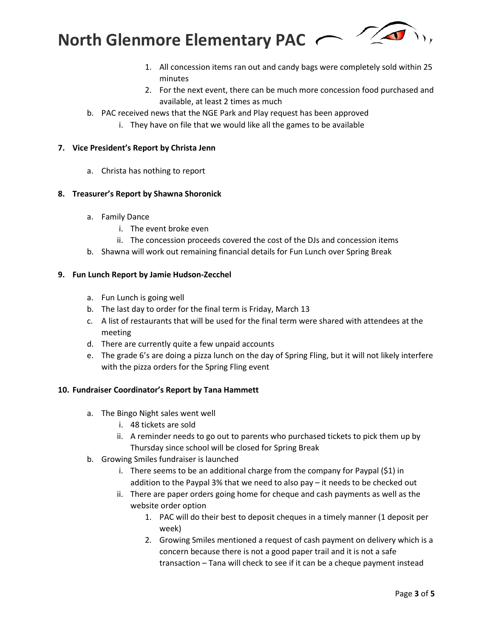



- 1. All concession items ran out and candy bags were completely sold within 25 minutes
- 2. For the next event, there can be much more concession food purchased and available, at least 2 times as much
- b. PAC received news that the NGE Park and Play request has been approved
	- i. They have on file that we would like all the games to be available

## **7. Vice President's Report by Christa Jenn**

a. Christa has nothing to report

## **8. Treasurer's Report by Shawna Shoronick**

- a. Family Dance
	- i. The event broke even
	- ii. The concession proceeds covered the cost of the DJs and concession items
- b. Shawna will work out remaining financial details for Fun Lunch over Spring Break

## **9. Fun Lunch Report by Jamie Hudson-Zecchel**

- a. Fun Lunch is going well
- b. The last day to order for the final term is Friday, March 13
- c. A list of restaurants that will be used for the final term were shared with attendees at the meeting
- d. There are currently quite a few unpaid accounts
- e. The grade 6's are doing a pizza lunch on the day of Spring Fling, but it will not likely interfere with the pizza orders for the Spring Fling event

## **10. Fundraiser Coordinator's Report by Tana Hammett**

- a. The Bingo Night sales went well
	- i. 48 tickets are sold
	- ii. A reminder needs to go out to parents who purchased tickets to pick them up by Thursday since school will be closed for Spring Break
- b. Growing Smiles fundraiser is launched
	- i. There seems to be an additional charge from the company for Paypal (\$1) in addition to the Paypal 3% that we need to also pay – it needs to be checked out
	- ii. There are paper orders going home for cheque and cash payments as well as the website order option
		- 1. PAC will do their best to deposit cheques in a timely manner (1 deposit per week)
		- 2. Growing Smiles mentioned a request of cash payment on delivery which is a concern because there is not a good paper trail and it is not a safe transaction – Tana will check to see if it can be a cheque payment instead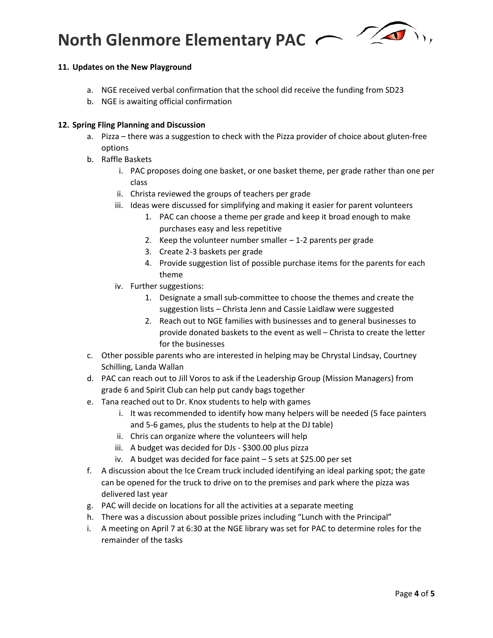# **North Glenmore Elementary PAC**



## **11. Updates on the New Playground**

- a. NGE received verbal confirmation that the school did receive the funding from SD23
- b. NGE is awaiting official confirmation

## **12. Spring Fling Planning and Discussion**

- a. Pizza there was a suggestion to check with the Pizza provider of choice about gluten-free options
- b. Raffle Baskets
	- i. PAC proposes doing one basket, or one basket theme, per grade rather than one per class
	- ii. Christa reviewed the groups of teachers per grade
	- iii. Ideas were discussed for simplifying and making it easier for parent volunteers
		- 1. PAC can choose a theme per grade and keep it broad enough to make purchases easy and less repetitive
		- 2. Keep the volunteer number smaller  $-1$ -2 parents per grade
		- 3. Create 2-3 baskets per grade
		- 4. Provide suggestion list of possible purchase items for the parents for each theme
	- iv. Further suggestions:
		- 1. Designate a small sub-committee to choose the themes and create the suggestion lists – Christa Jenn and Cassie Laidlaw were suggested
		- 2. Reach out to NGE families with businesses and to general businesses to provide donated baskets to the event as well – Christa to create the letter for the businesses
- c. Other possible parents who are interested in helping may be Chrystal Lindsay, Courtney Schilling, Landa Wallan
- d. PAC can reach out to Jill Voros to ask if the Leadership Group (Mission Managers) from grade 6 and Spirit Club can help put candy bags together
- e. Tana reached out to Dr. Knox students to help with games
	- i. It was recommended to identify how many helpers will be needed (5 face painters and 5-6 games, plus the students to help at the DJ table)
	- ii. Chris can organize where the volunteers will help
	- iii. A budget was decided for DJs \$300.00 plus pizza
	- iv. A budget was decided for face paint 5 sets at \$25.00 per set
- f. A discussion about the Ice Cream truck included identifying an ideal parking spot; the gate can be opened for the truck to drive on to the premises and park where the pizza was delivered last year
- g. PAC will decide on locations for all the activities at a separate meeting
- h. There was a discussion about possible prizes including "Lunch with the Principal"
- i. A meeting on April 7 at 6:30 at the NGE library was set for PAC to determine roles for the remainder of the tasks